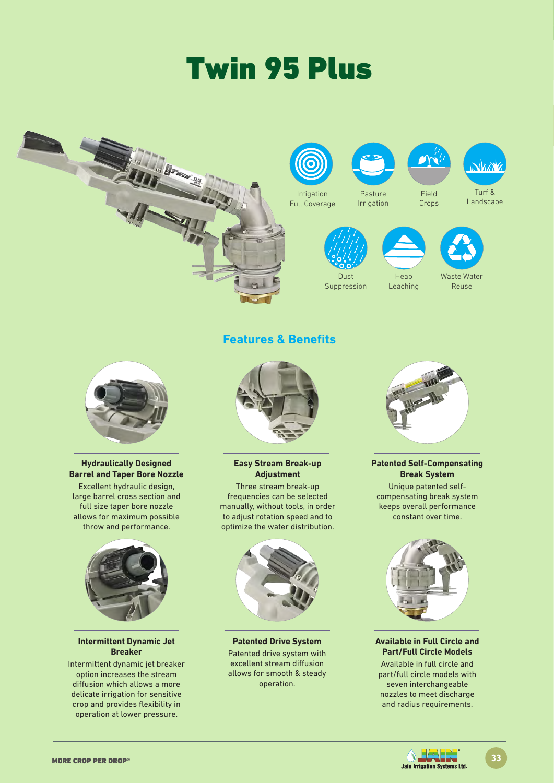# Twin 95 Plus





#### **Hydraulically Designed Barrel and Taper Bore Nozzle**

Excellent hydraulic design, large barrel cross section and full size taper bore nozzle allows for maximum possible throw and performance.



# **Intermittent Dynamic Jet Breaker**

Intermittent dynamic jet breaker option increases the stream diffusion which allows a more delicate irrigation for sensitive crop and provides flexibility in operation at lower pressure.



**Features & Benefits**

**Easy Stream Break-up Adjustment**

Three stream break-up frequencies can be selected manually, without tools, in order to adjust rotation speed and to optimize the water distribution.



**Patented Drive System** Patented drive system with excellent stream diffusion allows for smooth & steady operation.



# **Patented Self-Compensating Break System**

Unique patented selfcompensating break system keeps overall performance constant over time.



## **Available in Full Circle and Part/Full Circle Models**

Available in full circle and part/full circle models with seven interchangeable nozzles to meet discharge and radius requirements.